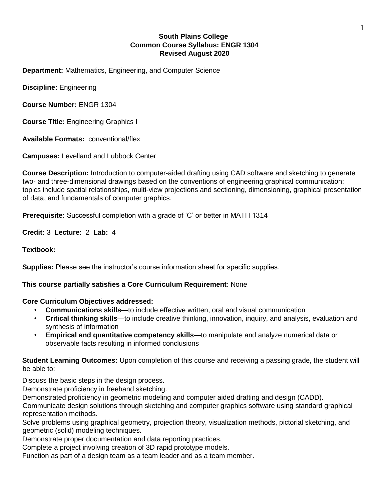# **South Plains College Common Course Syllabus: ENGR 1304 Revised August 2020**

**Department:** Mathematics, Engineering, and Computer Science

**Discipline:** Engineering

**Course Number:** ENGR 1304

**Course Title:** Engineering Graphics I

**Available Formats:** conventional/flex

**Campuses:** Levelland and Lubbock Center

**Course Description:** Introduction to computer-aided drafting using CAD software and sketching to generate two- and three-dimensional drawings based on the conventions of engineering graphical communication; topics include spatial relationships, multi-view projections and sectioning, dimensioning, graphical presentation of data, and fundamentals of computer graphics.

**Prerequisite:** Successful completion with a grade of 'C' or better in MATH 1314

**Credit:** 3 **Lecture:** 2 **Lab:** 4

**Textbook:** 

**Supplies:** Please see the instructor's course information sheet for specific supplies.

## **This course partially satisfies a Core Curriculum Requirement**: None

## **Core Curriculum Objectives addressed:**

- **Communications skills**—to include effective written, oral and visual communication
- **Critical thinking skills**—to include creative thinking, innovation, inquiry, and analysis, evaluation and synthesis of information
- **Empirical and quantitative competency skills**—to manipulate and analyze numerical data or observable facts resulting in informed conclusions

**Student Learning Outcomes:** Upon completion of this course and receiving a passing grade, the student will be able to:

Discuss the basic steps in the design process.

Demonstrate proficiency in freehand sketching.

Demonstrated proficiency in geometric modeling and computer aided drafting and design (CADD).

Communicate design solutions through sketching and computer graphics software using standard graphical representation methods.

Solve problems using graphical geometry, projection theory, visualization methods, pictorial sketching, and geometric (solid) modeling techniques.

Demonstrate proper documentation and data reporting practices.

Complete a project involving creation of 3D rapid prototype models.

Function as part of a design team as a team leader and as a team member.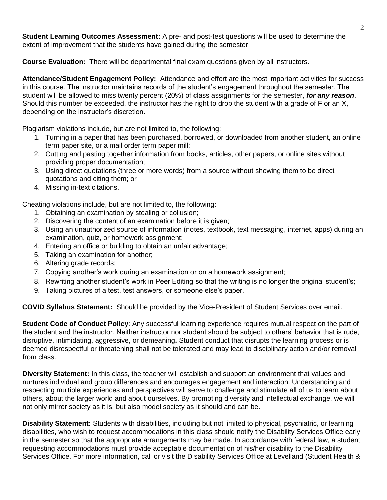**Student Learning Outcomes Assessment:** A pre- and post-test questions will be used to determine the extent of improvement that the students have gained during the semester

**Course Evaluation:** There will be departmental final exam questions given by all instructors.

**Attendance/Student Engagement Policy:** Attendance and effort are the most important activities for success in this course. The instructor maintains records of the student's engagement throughout the semester. The student will be allowed to miss twenty percent (20%) of class assignments for the semester, *for any reason*. Should this number be exceeded, the instructor has the right to drop the student with a grade of F or an X, depending on the instructor's discretion.

Plagiarism violations include, but are not limited to, the following:

- 1. Turning in a paper that has been purchased, borrowed, or downloaded from another student, an online term paper site, or a mail order term paper mill;
- 2. Cutting and pasting together information from books, articles, other papers, or online sites without providing proper documentation;
- 3. Using direct quotations (three or more words) from a source without showing them to be direct quotations and citing them; or
- 4. Missing in-text citations.

Cheating violations include, but are not limited to, the following:

- 1. Obtaining an examination by stealing or collusion;
- 2. Discovering the content of an examination before it is given;
- 3. Using an unauthorized source of information (notes, textbook, text messaging, internet, apps) during an examination, quiz, or homework assignment;
- 4. Entering an office or building to obtain an unfair advantage;
- 5. Taking an examination for another;
- 6. Altering grade records;
- 7. Copying another's work during an examination or on a homework assignment;
- 8. Rewriting another student's work in Peer Editing so that the writing is no longer the original student's;
- 9. Taking pictures of a test, test answers, or someone else's paper.

**COVID Syllabus Statement:** Should be provided by the Vice-President of Student Services over email.

**Student Code of Conduct Policy**: Any successful learning experience requires mutual respect on the part of the student and the instructor. Neither instructor nor student should be subject to others' behavior that is rude, disruptive, intimidating, aggressive, or demeaning**.** Student conduct that disrupts the learning process or is deemed disrespectful or threatening shall not be tolerated and may lead to disciplinary action and/or removal from class.

**Diversity Statement:** In this class, the teacher will establish and support an environment that values and nurtures individual and group differences and encourages engagement and interaction. Understanding and respecting multiple experiences and perspectives will serve to challenge and stimulate all of us to learn about others, about the larger world and about ourselves. By promoting diversity and intellectual exchange, we will not only mirror society as it is, but also model society as it should and can be.

**Disability Statement:** Students with disabilities, including but not limited to physical, psychiatric, or learning disabilities, who wish to request accommodations in this class should notify the Disability Services Office early in the semester so that the appropriate arrangements may be made. In accordance with federal law, a student requesting accommodations must provide acceptable documentation of his/her disability to the Disability Services Office. For more information, call or visit the Disability Services Office at Levelland (Student Health &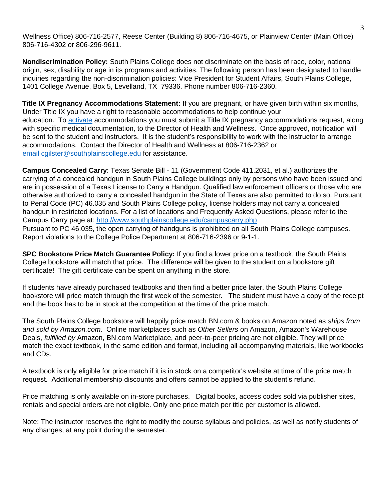Wellness Office) 806-716-2577, Reese Center (Building 8) 806-716-4675, or Plainview Center (Main Office) 806-716-4302 or 806-296-9611.

**Nondiscrimination Policy:** South Plains College does not discriminate on the basis of race, color, national origin, sex, disability or age in its programs and activities. The following person has been designated to handle inquiries regarding the non-discrimination policies: Vice President for Student Affairs, South Plains College, 1401 College Avenue, Box 5, Levelland, TX 79336. Phone number 806-716-2360.

**Title IX Pregnancy Accommodations Statement:** If you are pregnant, or have given birth within six months, Under Title IX you have a right to reasonable accommodations to help continue your education. T[o](http://www.southplainscollege.edu/employees/manualshandbooks/facultyhandbook/sec4.php) [activate](http://www.southplainscollege.edu/employees/manualshandbooks/facultyhandbook/sec4.php) accommodations you must submit a Title IX pregnancy accommodations request, along with specific medical documentation, to the Director of Health and Wellness. Once approved, notification will be sent to the student and instructors. It is the student's responsibility to work with the instructor to arrange accommodations. Contact the Director of Health and Wellness at 806-716-2362 o[r](http://www.southplainscollege.edu/employees/manualshandbooks/facultyhandbook/sec4.php) [email](http://www.southplainscollege.edu/employees/manualshandbooks/facultyhandbook/sec4.php) cgilster@southplainscollege.edu for assistance.

**Campus Concealed Carry**: Texas Senate Bill - 11 (Government Code 411.2031, et al.) authorizes the carrying of a concealed handgun in South Plains College buildings only by persons who have been issued and are in possession of a Texas License to Carry a Handgun. Qualified law enforcement officers or those who are otherwise authorized to carry a concealed handgun in the State of Texas are also permitted to do so. Pursuant to Penal Code (PC) 46.035 and South Plains College policy, license holders may not carry a concealed handgun in restricted locations. For a list of locations and Frequently Asked Questions, please refer to the Campus Carry page at[:](http://www.southplainscollege.edu/campuscarry.php) <http://www.southplainscollege.edu/campuscarry.php> Pursuant to PC 46.035, the open carrying of handguns is prohibited on all South Plains College campuses. Report violations to the College Police Department at 806-716-2396 or 9-1-1.

**SPC Bookstore Price Match Guarantee Policy:** If you find a lower price on a textbook, the South Plains College bookstore will match that price. The difference will be given to the student on a bookstore gift certificate! The gift certificate can be spent on anything in the store.

If students have already purchased textbooks and then find a better price later, the South Plains College bookstore will price match through the first week of the semester. The student must have a copy of the receipt and the book has to be in stock at the competition at the time of the price match.

The South Plains College bookstore will happily price match BN.com & books on Amazon noted as *ships from and sold by Amazon.com*. Online marketplaces such as *Other Sellers* on Amazon, Amazon's Warehouse Deals, *fulfilled by* Amazon, BN.com Marketplace, and peer-to-peer pricing are not eligible. They will price match the exact textbook, in the same edition and format, including all accompanying materials, like workbooks and CDs.

A textbook is only eligible for price match if it is in stock on a competitor's website at time of the price match request. Additional membership discounts and offers cannot be applied to the student's refund.

Price matching is only available on in-store purchases. Digital books, access codes sold via publisher sites, rentals and special orders are not eligible. Only one price match per title per customer is allowed.

Note: The instructor reserves the right to modify the course syllabus and policies, as well as notify students of any changes, at any point during the semester.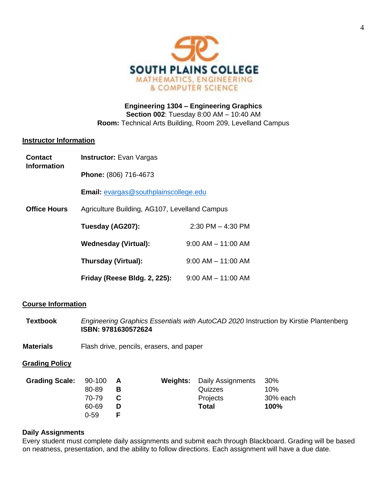

**Engineering 1304 – Engineering Graphics Section 002**: Tuesday 8:00 AM – 10:40 AM **Room:** Technical Arts Building, Room 209, Levelland Campus

#### **Instructor Information**

| <b>Contact</b><br><b>Information</b> | <b>Instructor:</b> Evan Vargas                |                        |  |  |
|--------------------------------------|-----------------------------------------------|------------------------|--|--|
|                                      | Phone: (806) 716-4673                         |                        |  |  |
|                                      | <b>Email:</b> evargas@southplainscollege.edu  |                        |  |  |
| <b>Office Hours</b>                  | Agriculture Building, AG107, Levelland Campus |                        |  |  |
|                                      | Tuesday (AG207):                              | $2:30$ PM $-$ 4:30 PM  |  |  |
|                                      | <b>Wednesday (Virtual):</b>                   | $9:00$ AM $-$ 11:00 AM |  |  |
|                                      | Thursday (Virtual):                           | $9:00$ AM $-$ 11:00 AM |  |  |
|                                      | Friday (Reese Bldg. 2, 225):                  | $9:00$ AM $-$ 11:00 AM |  |  |

## **Course Information**

**Textbook** *Engineering Graphics Essentials with AutoCAD 2020* Instruction by Kirstie Plantenberg **ISBN: 9781630572624** 

**Materials** Flash drive, pencils, erasers, and paper

## **Grading Policy**

| Grading Scale: 90-100 |       | A | <b>Weights:</b> Daily Assignments | - 30%    |
|-----------------------|-------|---|-----------------------------------|----------|
|                       | 80-89 | в | Quizzes                           | 10%      |
|                       | 70-79 |   | Projects                          | 30% each |
|                       | 60-69 | D | Total                             | 100%     |
|                       | 0-59  |   |                                   |          |

## **Daily Assignments**

Every student must complete daily assignments and submit each through Blackboard. Grading will be based on neatness, presentation, and the ability to follow directions. Each assignment will have a due date.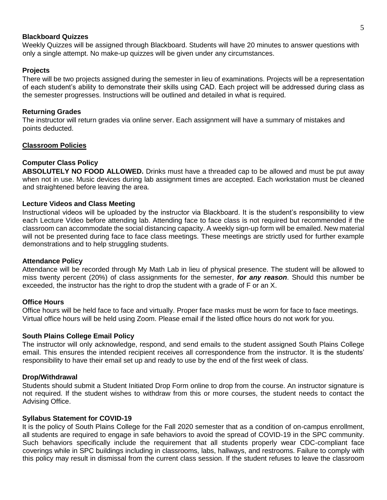#### **Blackboard Quizzes**

Weekly Quizzes will be assigned through Blackboard. Students will have 20 minutes to answer questions with only a single attempt. No make-up quizzes will be given under any circumstances.

### **Projects**

There will be two projects assigned during the semester in lieu of examinations. Projects will be a representation of each student's ability to demonstrate their skills using CAD. Each project will be addressed during class as the semester progresses. Instructions will be outlined and detailed in what is required.

### **Returning Grades**

The instructor will return grades via online server. Each assignment will have a summary of mistakes and points deducted.

#### **Classroom Policies**

### **Computer Class Policy**

**ABSOLUTELY NO FOOD ALLOWED.** Drinks must have a threaded cap to be allowed and must be put away when not in use. Music devices during lab assignment times are accepted. Each workstation must be cleaned and straightened before leaving the area.

#### **Lecture Videos and Class Meeting**

Instructional videos will be uploaded by the instructor via Blackboard. It is the student's responsibility to view each Lecture Video before attending lab. Attending face to face class is not required but recommended if the classroom can accommodate the social distancing capacity. A weekly sign-up form will be emailed. New material will not be presented during face to face class meetings. These meetings are strictly used for further example demonstrations and to help struggling students.

#### **Attendance Policy**

Attendance will be recorded through My Math Lab in lieu of physical presence. The student will be allowed to miss twenty percent (20%) of class assignments for the semester, *for any reason*. Should this number be exceeded, the instructor has the right to drop the student with a grade of F or an X.

#### **Office Hours**

Office hours will be held face to face and virtually. Proper face masks must be worn for face to face meetings. Virtual office hours will be held using Zoom. Please email if the listed office hours do not work for you.

#### **South Plains College Email Policy**

The instructor will only acknowledge, respond, and send emails to the student assigned South Plains College email. This ensures the intended recipient receives all correspondence from the instructor. It is the students' responsibility to have their email set up and ready to use by the end of the first week of class.

#### **Drop/Withdrawal**

Students should submit a Student Initiated Drop Form online to drop from the course. An instructor signature is not required. If the student wishes to withdraw from this or more courses, the student needs to contact the Advising Office.

#### **Syllabus Statement for COVID-19**

It is the policy of South Plains College for the Fall 2020 semester that as a condition of on-campus enrollment, all students are required to engage in safe behaviors to avoid the spread of COVID-19 in the SPC community. Such behaviors specifically include the requirement that all students properly wear CDC-compliant face coverings while in SPC buildings including in classrooms, labs, hallways, and restrooms. Failure to comply with this policy may result in dismissal from the current class session. If the student refuses to leave the classroom